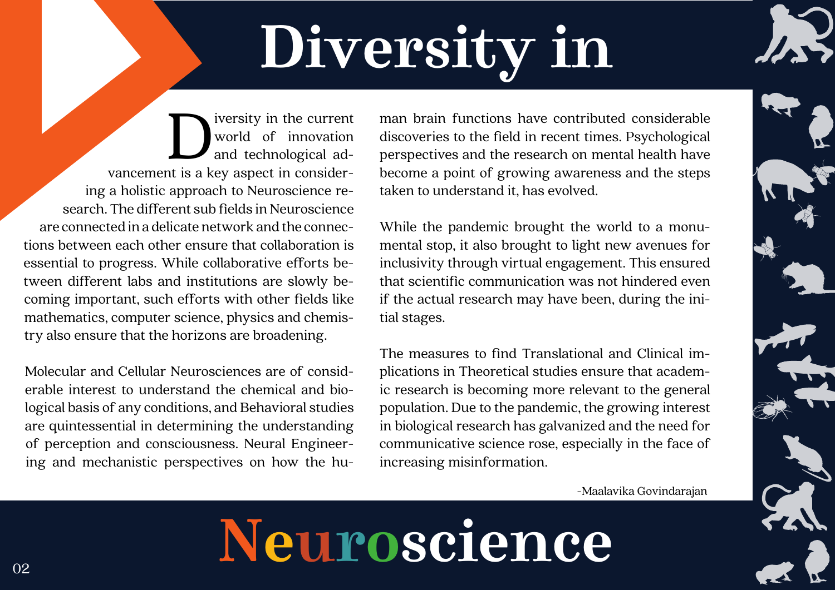## **Neuroscience**

 $\begin{tabular}{l} \quad \quad \text{iversity in the current} \\ \quad \quad \text{world} \quad \text{of} \quad \text{innovation} \\ \quad \quad \text{and technical ad-} \\ \quad \quad \text{van cement is a key aspect in consider-} \end{tabular}$ world of innovation and technological ading a holistic approach to Neuroscience research. The different sub fields in Neuroscience are connected in a delicate network and the connections between each other ensure that collaboration is essential to progress. While collaborative efforts between different labs and institutions are slowly becoming important, such efforts with other fields like mathematics, computer science, physics and chemistry also ensure that the horizons are broadening.

Molecular and Cellular Neurosciences are of considerable interest to understand the chemical and biological basis of any conditions, and Behavioral studies are quintessential in determining the understanding of perception and consciousness. Neural Engineering and mechanistic perspectives on how the human brain functions have contributed considerable discoveries to the field in recent times. Psychological perspectives and the research on mental health have become a point of growing awareness and the steps taken to understand it, has evolved.

While the pandemic brought the world to a monumental stop, it also brought to light new avenues for inclusivity through virtual engagement. This ensured that scientific communication was not hindered even if the actual research may have been, during the initial stages.

The measures to find Translational and Clinical implications in Theoretical studies ensure that academic research is becoming more relevant to the general population. Due to the pandemic, the growing interest in biological research has galvanized and the need for communicative science rose, especially in the face of increasing misinformation.

# **Diversity in**

-Maalavika Govindarajan